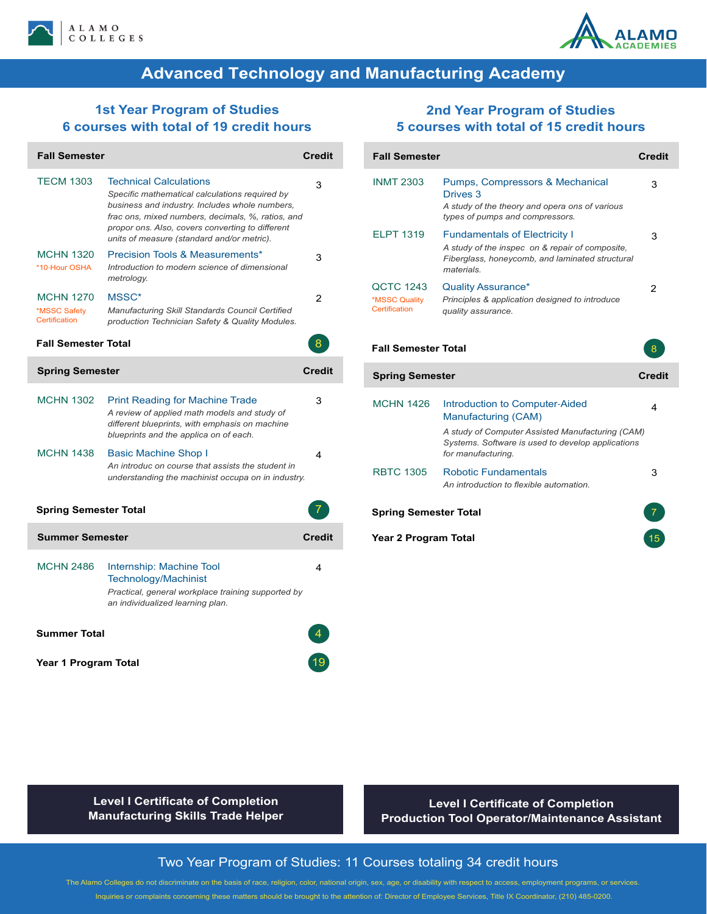



# **Advanced Technology and Manufacturing Academy**

## **1st Year Program of Studies 6 courses with total of 19 credit hours**

| <b>Fall Semester</b>                              |                                                                                                                                                                                                                                                                                          | <b>Credit</b> |
|---------------------------------------------------|------------------------------------------------------------------------------------------------------------------------------------------------------------------------------------------------------------------------------------------------------------------------------------------|---------------|
| <b>TECM 1303</b>                                  | <b>Technical Calculations</b><br>Specific mathematical calculations required by<br>business and industry. Includes whole numbers,<br>frac ons, mixed numbers, decimals, %, ratios, and<br>propor ons. Also, covers converting to different<br>units of measure (standard and/or metric). | 3             |
| <b>MCHN 1320</b><br>*10-Hour OSHA                 | <b>Precision Tools &amp; Measurements*</b><br>Introduction to modern science of dimensional<br>metrology.                                                                                                                                                                                | 3             |
| <b>MCHN 1270</b><br>*MSSC Safety<br>Certification | MSSC*<br>Manufacturing Skill Standards Council Certified<br>production Technician Safety & Quality Modules.                                                                                                                                                                              | 2             |
| <b>Fall Semester Total</b>                        |                                                                                                                                                                                                                                                                                          | 8             |
| <b>Spring Semester</b>                            |                                                                                                                                                                                                                                                                                          | <b>Credit</b> |
| <b>MCHN 1302</b>                                  | <b>Print Reading for Machine Trade</b><br>A review of applied math models and study of<br>different blueprints, with emphasis on machine<br>blueprints and the applica on of each.                                                                                                       | 3             |
| <b>MCHN 1438</b>                                  | Basic Machine Shop I<br>An introduc on course that assists the student in<br>understanding the machinist occupa on in industry.                                                                                                                                                          | 4             |
| Spring Semester Total                             |                                                                                                                                                                                                                                                                                          |               |
| <b>Summer Semester</b>                            |                                                                                                                                                                                                                                                                                          | <b>Credit</b> |
| <b>MCHN 2486</b>                                  | Internship: Machine Tool<br><b>Technology/Machinist</b><br>Practical, general workplace training supported by<br>an individualized learning plan.                                                                                                                                        | 4             |
| Summer Total                                      |                                                                                                                                                                                                                                                                                          |               |
| Year 1 Program Total                              |                                                                                                                                                                                                                                                                                          |               |

## **2nd Year Program of Studies 5 courses with total of 15 credit hours**

| <b>Fall Semester</b>                        |                                                                                                                                                                                      | <b>Credit</b>  |
|---------------------------------------------|--------------------------------------------------------------------------------------------------------------------------------------------------------------------------------------|----------------|
| <b>INMT 2303</b>                            | Pumps, Compressors & Mechanical<br>Drives 3<br>A study of the theory and opera ons of various<br>types of pumps and compressors.                                                     | 3              |
| <b>ELPT 1319</b>                            | <b>Fundamentals of Electricity I</b><br>A study of the inspec on & repair of composite,<br>Fiberglass, honeycomb, and laminated structural<br>materials                              | 3              |
| QCTC 1243<br>*MSSC Quality<br>Certification | <b>Quality Assurance*</b><br>Principles & application designed to introduce<br>quality assurance.                                                                                    | $\overline{2}$ |
| <b>Fall Semester Total</b>                  |                                                                                                                                                                                      | 8              |
|                                             |                                                                                                                                                                                      |                |
| <b>Spring Semester</b>                      |                                                                                                                                                                                      | <b>Credit</b>  |
| <b>MCHN 1426</b>                            | Introduction to Computer-Aided<br>Manufacturing (CAM)<br>A study of Computer Assisted Manufacturing (CAM)<br>Systems. Software is used to develop applications<br>for manufacturing. | 4              |
| <b>RBTC 1305</b>                            | <b>Robotic Fundamentals</b><br>An introduction to flexible automation.                                                                                                               | 3              |
| <b>Spring Semester Total</b>                |                                                                                                                                                                                      |                |

**Level I Certificate of Completion Manufacturing Skills Trade Helper**

**Or Level I Certificate of Completion Production Tool Operator/Maintenance Assistant**

## Two Year Program of Studies: 11 Courses totaling 34 credit hours

The Alamo Colleges do not discriminate on the basis of race, religion, color, national origin, sex, age, or disability with respect to access, employment programs, or services. Inquiries or complaints concerning these matters should be brought to the attention of: Director of Employee Services, Title IX Coordinator, (210) 485-0200.